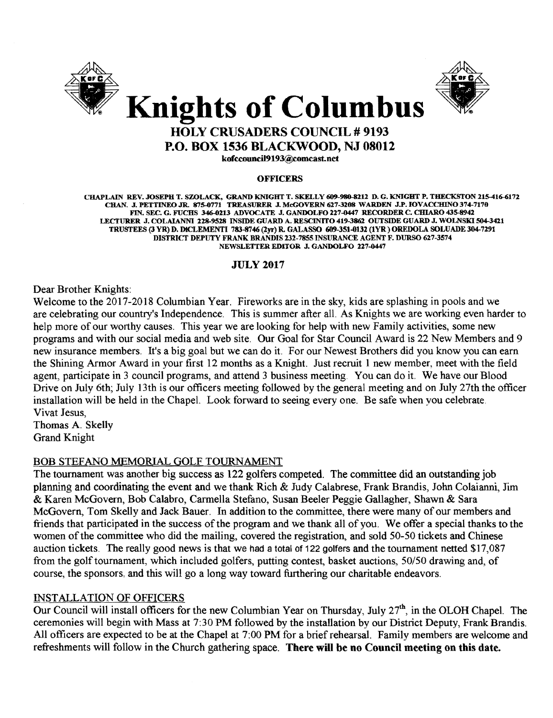



# HOLY CRUSADERS COUNCIL # 9193 P.O. BOX 1536 BLACKWOOD, NJ 08012

kofccouncil9193@comcast.net

#### **OFFICERS**

L"BAPLAIN REV•.I0SEPH T. SZOLACK. GRAND KNIGHT T. SKELLY 609-980-8212 D. G. KNIGHT P. THECKSTON 215-416-6172 CHAN• .I. PETTINEO.JR. 875-0771 TREASURER.I. McGOVERN 627-3208 WARDEN .I.P. IOVACCHINO 374-7170 FIN. SEC. G. FUCHS 346-0213 ADVOCATE J. GANDOLFO 227-0447 RECORDER C. CHIARO 435-8942 LECTURER J. COLAIANNI 228-9528 INSIDE GUARD A. RESCINITO 419-3862 OUTSIDE GUARD J. WOLNSKI 504-3421 TRUSTEES (3 YR) D. DlCLEMENTI 783-8746 (2yr) R. GALASSO 609-351-0132 (IYR) OREDOLA SOLUADE 304-7291 DISTRICT DEPUTY FRANK BRANDIS 232-7855 INSURANCE AGENT F. DURSO 627-3574 NEWSLETTER EDITOR J. GANDOLFO 227-0447

## JULy 2017

Dear Brother Knights:

Welcome to the 2017-2018 Columbian Year. Fireworks are in the sky, kids are splashing in pools and we are celebrating our country's Independence. This is summer after all. As Knights we are working even harder to help more of our worthy causes. This year we are looking for help with new Family activities, some new programs and with our social media and web site. Our Goal for Star Council Award is 22 New Members and 9 new insurance members. It's a big goal but we can do it. For our Newest Brothers did you know you can earn the Shining Armor Award in your first 12 months as a Knight. Just recruit 1 new member, meet with the field agent, participate in 3 council programs, and attend 3 business meeting. You can do it. We have our Blood Drive on July 6th; July 13th is our officers meeting followed by the general meeting and on July 27th the officer installation will be held in the Chapel. Look forward to seeing every one. Be safe when you celebrate. Vivat Jesus,

Thomas A. Skelly Grand Knight

#### BOB STEFANO MEMORIAL GOLF TOURNAMENT

The tournament was another big success as 122 golfers competed. The committee did an outstanding job planning and coordinating the event and we thank Rich & Judy Calabrese, Frank Brandis, John Colaianni, Jim & Karen McGovern, Bob Calabro, Carmella Stefano, Susan Beeler Peggie Gallagher, Shawn & Sara McGovern, Tom Skelly and Jack Bauer. In addition to the committee, there were many of our members and friends that participated in the success of the program and we thank all of you. We offer a special thanks to the women of the committee who did the mailing, covered the registration, and sold 50-50 tickets and Chinese auction tickets. The really good news is that we had a total of 122 golfers and the tournament netted \$17,087 from the golf tournament, which included golfers, putting contest, basket auctions, *50/50* drawing and, of course, the sponsors, and this will go a long way toward furthering our charitable endeavors.

## INSTALLATION OF OFFICERS

Our Council will install officers for the new Columbian Year on Thursday, July 27<sup>th</sup>, in the OLOH Chapel. The ceremonies will begin with Mass at 7:30 PM followed by the installation by our District Deputy, Frank Brandis. All officers are expected to be at the Chapel at 7:00 PM for a brief rehearsal. Family members are welcome and refreshments will follow in the Church gathering space. There will be no Council meeting on this date.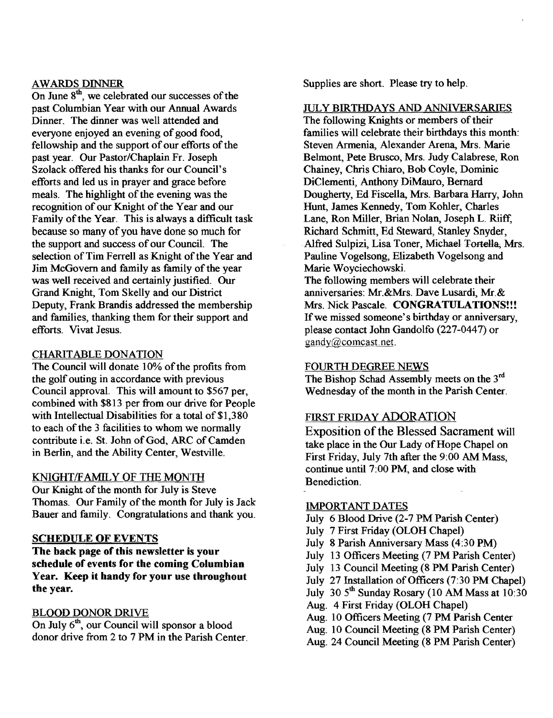## AWARDS DINNER

On June  $8<sup>th</sup>$ , we celebrated our successes of the past Columbian Year with our Annual Awards Dinner. The dinner was well attended and everyone enjoyed an evening of good food, fellowship and the support of our efforts of the past year. Our Pastor/Chaplain Fr. Joseph Szolack offered his thanks for our Council's efforts and led us in prayer and grace before meals. The highlight of the evening was the recognition of our Knight of the Year and our Family of the Year. This is always a difficult task because so many of you have done so much for the support and success of our Council. The selection of Tim Ferrell as Knight of the Year and Jim McGovern and family as family of the year was well received and certainly justified. Our Grand Knight, Tom Skelly and our District Deputy, Frank Brandis addressed the membership and families, thanking them for their support and efforts. Vivat Jesus.

## CHARITABLE DONATION

The Council will donate 10% of the profits from the golf outing in accordance with previous Council approval. This will amount to \$567 per, combined with \$813 per from our drive for People with Intellectual Disabilities for a total of \$1,380 to each of the 3 facilities to whom we normally contribute i.e. St. John of God, ARC of Camden in Berlin, and the Ability Center, Westville.

## KNIGHT/FAMILY OF THE MONTH

Our Knight of the month for July is Steve Thomas. Our Family of the month for July is Jack Bauer and family. Congratulations and thank you.

#### **SCHEDULE OF EVENTS**

The back page of this newsletter is your schedule of events for the coming Columbian Year. Keep it handy for your use throughout the year.

#### BLOOD DONOR DRIVE

On July  $6<sup>th</sup>$ , our Council will sponsor a blood donor drive from 2 to 7 PM in the Parish Center. Supplies are short. Please try to help.

## JULY BIRTHDAYS AND ANNIVERSARIES

The following Knights or members of their families will celebrate their birthdays this month: Steven Armenia, Alexander Arena, Mrs. Marie Belmont, Pete Brusco, Mrs. Judy Calabrese, Ron Chainey, Chris Chiaro, Bob Coyle, Dominic DiClementi, Anthony DiMauro, Bernard Dougherty, Ed Fiscella, Mrs. Barbara Harry, John Hunt, James Kennedy, Tom Kohler, Charles Lane, Ron Miller, Brian Nolan, Joseph L. Riiff, Richard Schmitt, Ed Steward, Stanley Snyder, Alfred Sulpizi, Lisa Toner, Michael Tortella, Mrs. Pauline Vogelsong, Elizabeth Vogelsong and Marie Woyciechowski. The following members will celebrate their

anniversaries: Mr.&Mrs. Dave Lusardi, Mr.& Mrs. Nick Pascale. CONGRATULATIONS!!! If we missed someone's birthday or anniversary, please contact John Gandolfo (227-0447) or gandy@comcast.net.

#### FOURTH DEGREE NEWS

The Bishop Schad Assembly meets on the 3rd Wednesday of the month in the Parish Center.

## FIRST FRIDAY ADORATION

Exposition of the Blessed Sacrament will take place in the Our Lady of Hope Chapel on First Friday, July 7th after the 9:00 AM Mass, continue until 7:00 PM, and close with Benediction.

### IMPORTANT DATES

- July 6 Blood Drive (2-7 PM Parish Center)
- July 7 First Friday (OLOH Chapel)
- July 8 Parish Anniversary Mass (4:30 PM)
- July 13 Officers Meeting (7 PM Parish Center)
- July 13 Council Meeting (8 PM Parish Center)
- July 27 Installation of Officers (7:30 PM Chapel)
- July  $30.5<sup>th</sup>$  Sunday Rosary (10 AM Mass at 10:30)
- Aug. 4 First Friday (OLOH Chapel)
- Aug. 10 Officers Meeting (7 PM Parish Center
- Aug. 10 Council Meeting (8 PM Parish Center)
- Aug. 24 Council Meeting (8 PM Parish Center)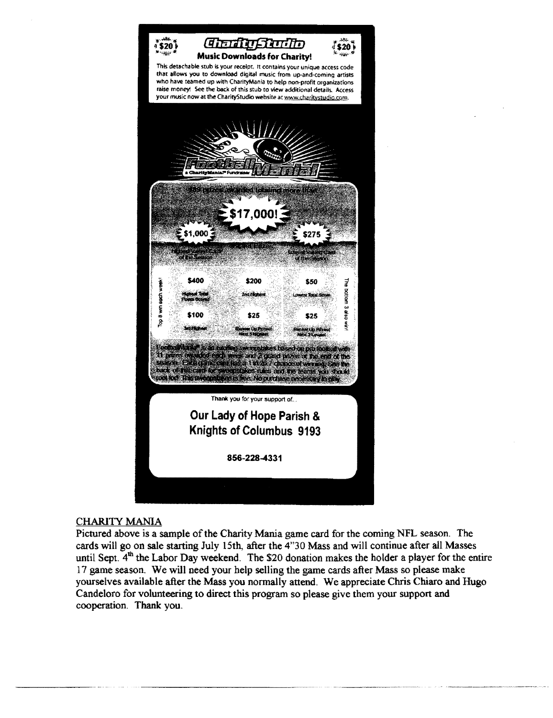

## CHARITY MANIA

Pictured above is a sample of the Charity Mania game card for the coming NFL season. The cards will go on sale starting July 15th, after the 4"30 Mass and will continue after all Masses until Sept.  $4<sup>th</sup>$  the Labor Day weekend. The \$20 donation makes the holder a player for the entire 17 game season. We will need your help selling the game cards after Mass so please make yourselves available after the Mass you normally attend. We appreciate Chris Chiaro and Hugo Candeloro for volunteering to direct this program so please give them your support and cooperation. Thank you,